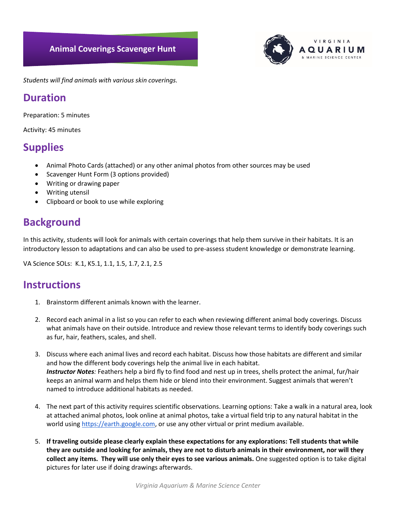#### **Animal Coverings Scavenger Hunt**



*Students will find animals with various skin coverings.* 

## **Duration**

Preparation: 5 minutes

Activity: 45 minutes

# **Supplies**

- Animal Photo Cards (attached) or any other animal photos from other sources may be used
- Scavenger Hunt Form (3 options provided)
- Writing or drawing paper
- Writing utensil
- Clipboard or book to use while exploring

# **Background**

In this activity, students will look for animals with certain coverings that help them survive in their habitats. It is an introductory lesson to adaptations and can also be used to pre-assess student knowledge or demonstrate learning.

VA Science SOLs: K.1, K5.1, 1.1, 1.5, 1.7, 2.1, 2.5

## **Instructions**

- 1. Brainstorm different animals known with the learner.
- 2. Record each animal in a list so you can refer to each when reviewing different animal body coverings. Discuss what animals have on their outside. Introduce and review those relevant terms to identify body coverings such as fur, hair, feathers, scales, and shell.
- 3. Discuss where each animal lives and record each habitat. Discuss how those habitats are different and similar and how the different body coverings help the animal live in each habitat. *Instructor Notes:* Feathers help a bird fly to find food and nest up in trees, shells protect the animal, fur/hair keeps an animal warm and helps them hide or blend into their environment. Suggest animals that weren't named to introduce additional habitats as needed.
- 4. The next part of this activity requires scientific observations. Learning options: Take a walk in a natural area, look at attached animal photos, look online at animal photos, take a virtual field trip to any natural habitat in the world usin[g https://earth.google.com,](https://earth.google.com/) or use any other virtual or print medium available.
- 5. **If traveling outside please clearly explain these expectations for any explorations: Tell students that while they are outside and looking for animals, they are not to disturb animals in their environment, nor will they collect any items. They will use only their eyes to see various animals.** One suggested option is to take digital pictures for later use if doing drawings afterwards.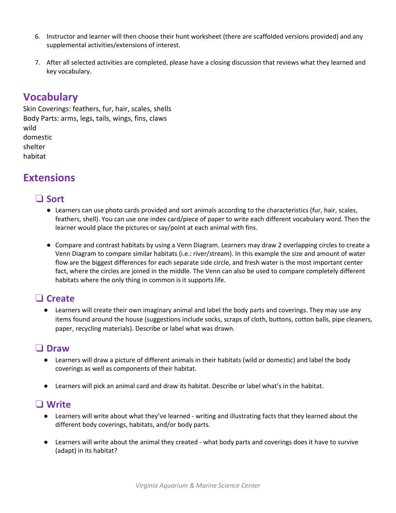- 6. Instructor and learner will then choose their hunt worksheet (there are scaffolded versions provided) and any supplemental activities/extensions of interest.
- 7. After all selected activities are completed, please have a closing discussion that reviews what they learned and key vocabulary.

# **Vocabulary**

Skin Coverings: feathers, fur, hair, scales, shells Body Parts: arms, legs, tails, wings, fins, claws wild domestic shelter habitat

# **Extensions**

#### ❏ **Sort**

- Learners can use photo cards provided and sort animals according to the characteristics (fur, hair, scales, feathers, shell). You can use one index card/piece of paper to write each different vocabulary word. Then the learner would place the pictures or say/point at each animal with fins.
- Compare and contrast habitats by using a Venn Diagram. Learners may draw 2 overlapping circles to create a Venn Diagram to compare similar habitats (i.e.: river/stream). In this example the size and amount of water flow are the biggest differences for each separate side circle, and fresh water is the most important center fact, where the circles are joined in the middle. The Venn can also be used to compare completely different habitats where the only thing in common is it supports life.

## ❏ **Create**

● Learners will create their own imaginary animal and label the body parts and coverings. They may use any items found around the house (suggestions include socks, scraps of cloth, buttons, cotton balls, pipe cleaners, paper, recycling materials). Describe or label what was drawn.

#### ❏ **Draw**

- Learners will draw a picture of different animals in their habitats (wild or domestic) and label the body coverings as well as components of their habitat.
- Learners will pick an animal card and draw its habitat. Describe or label what's in the habitat.

#### ❏ **Write**

- Learners will write about what they've learned writing and illustrating facts that they learned about the different body coverings, habitats, and/or body parts.
- Learners will write about the animal they created what body parts and coverings does it have to survive (adapt) in its habitat?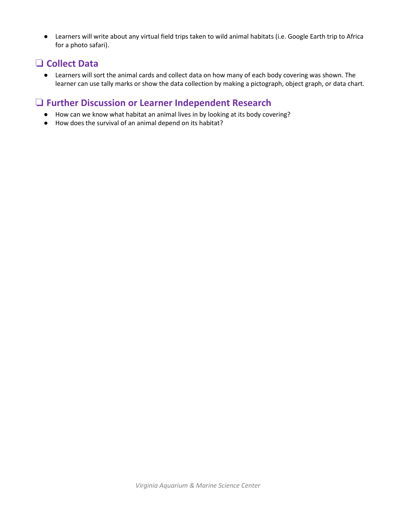● Learners will write about any virtual field trips taken to wild animal habitats (i.e. Google Earth trip to Africa for a photo safari).

# ❏ **Collect Data**

● Learners will sort the animal cards and collect data on how many of each body covering was shown. The learner can use tally marks or show the data collection by making a pictograph, object graph, or data chart.

#### ❏ **Further Discussion or Learner Independent Research**

- How can we know what habitat an animal lives in by looking at its body covering?
- How does the survival of an animal depend on its habitat?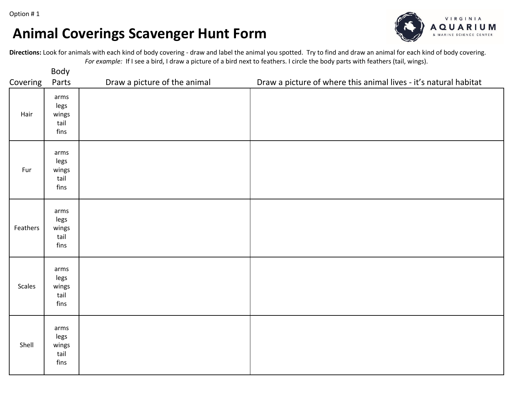# **Animal Coverings Scavenger Hunt Form**



**Directions:** Look for animals with each kind of body covering - draw and label the animal you spotted. Try to find and draw an animal for each kind of body covering. *For example:* If I see a bird, I draw a picture of a bird next to feathers. I circle the body parts with feathers (tail, wings).

|          | Body                                  |                              |                                                                  |
|----------|---------------------------------------|------------------------------|------------------------------------------------------------------|
| Covering | Parts                                 | Draw a picture of the animal | Draw a picture of where this animal lives - it's natural habitat |
| Hair     | arms<br>legs<br>wings<br>tail<br>fins |                              |                                                                  |
| Fur      | arms<br>legs<br>wings<br>tail<br>fins |                              |                                                                  |
| Feathers | arms<br>legs<br>wings<br>tail<br>fins |                              |                                                                  |
| Scales   | arms<br>legs<br>wings<br>tail<br>fins |                              |                                                                  |
| Shell    | arms<br>legs<br>wings<br>tail<br>fins |                              |                                                                  |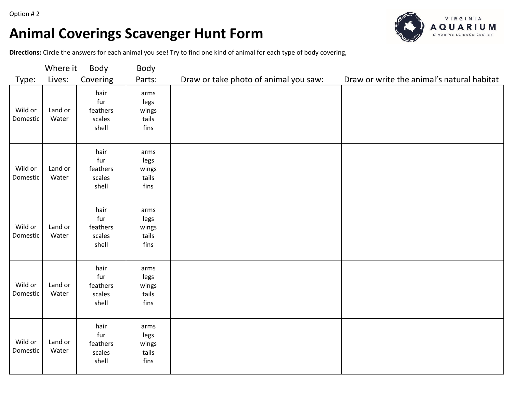Option # 2

# **Animal Coverings Scavenger Hunt Form**



**Directions:** Circle the answers for each animal you see! Try to find one kind of animal for each type of body covering,

| Where it<br>Body    |                  | Body                                       |                                        |                                       |                                            |
|---------------------|------------------|--------------------------------------------|----------------------------------------|---------------------------------------|--------------------------------------------|
| Type:               | Lives:           | Covering                                   | Parts:                                 | Draw or take photo of animal you saw: | Draw or write the animal's natural habitat |
| Wild or<br>Domestic | Land or<br>Water | hair<br>fur<br>feathers<br>scales<br>shell | arms<br>legs<br>wings<br>tails<br>fins |                                       |                                            |
| Wild or<br>Domestic | Land or<br>Water | hair<br>fur<br>feathers<br>scales<br>shell | arms<br>legs<br>wings<br>tails<br>fins |                                       |                                            |
| Wild or<br>Domestic | Land or<br>Water | hair<br>fur<br>feathers<br>scales<br>shell | arms<br>legs<br>wings<br>tails<br>fins |                                       |                                            |
| Wild or<br>Domestic | Land or<br>Water | hair<br>fur<br>feathers<br>scales<br>shell | arms<br>legs<br>wings<br>tails<br>fins |                                       |                                            |
| Wild or<br>Domestic | Land or<br>Water | hair<br>fur<br>feathers<br>scales<br>shell | arms<br>legs<br>wings<br>tails<br>fins |                                       |                                            |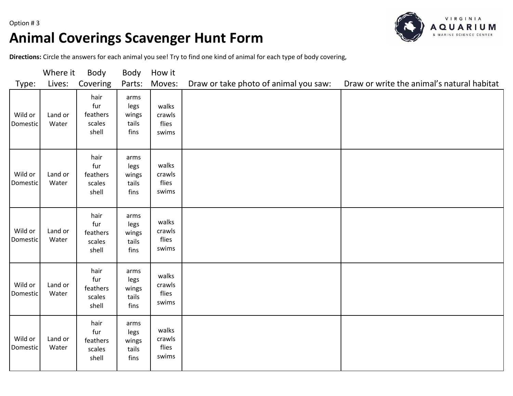

# **Animal Coverings Scavenger Hunt Form**



**Directions:** Circle the answers for each animal you see! Try to find one kind of animal for each type of body covering,

|                            | Where it         | Body                                       | Body                                   | How it                            |                                       |                                            |
|----------------------------|------------------|--------------------------------------------|----------------------------------------|-----------------------------------|---------------------------------------|--------------------------------------------|
| Type:                      | Lives:           | Covering                                   | Parts:                                 | Moves:                            | Draw or take photo of animal you saw: | Draw or write the animal's natural habitat |
| Wild or<br>Domestic        | Land or<br>Water | hair<br>fur<br>feathers<br>scales<br>shell | arms<br>legs<br>wings<br>tails<br>fins | walks<br>crawls<br>flies<br>swims |                                       |                                            |
| Wild or<br>Domestic        | Land or<br>Water | hair<br>fur<br>feathers<br>scales<br>shell | arms<br>legs<br>wings<br>tails<br>fins | walks<br>crawls<br>flies<br>swims |                                       |                                            |
| Wild or<br>Domestic        | Land or<br>Water | hair<br>fur<br>feathers<br>scales<br>shell | arms<br>legs<br>wings<br>tails<br>fins | walks<br>crawls<br>flies<br>swims |                                       |                                            |
| Wild or<br>Domestic        | Land or<br>Water | hair<br>fur<br>feathers<br>scales<br>shell | arms<br>legs<br>wings<br>tails<br>fins | walks<br>crawls<br>flies<br>swims |                                       |                                            |
| Wild or<br><b>Domestic</b> | Land or<br>Water | hair<br>fur<br>feathers<br>scales<br>shell | arms<br>legs<br>wings<br>tails<br>fins | walks<br>crawls<br>flies<br>swims |                                       |                                            |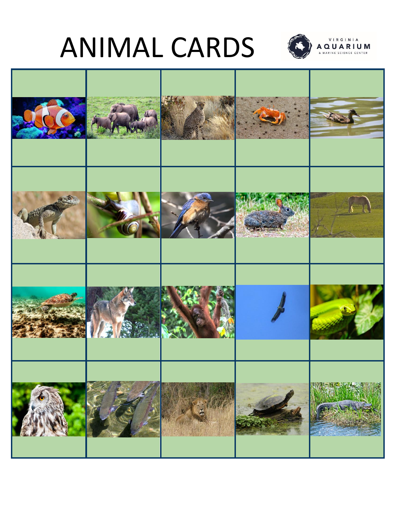# ANIMAL CARDS